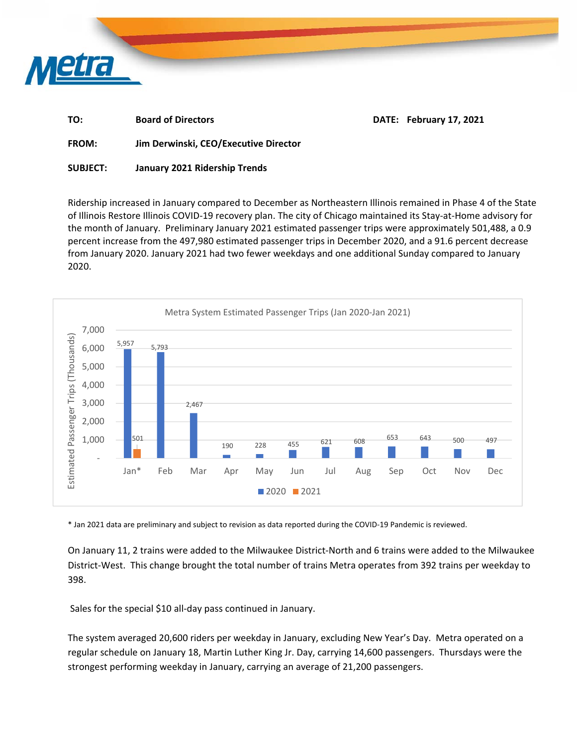

| TO:          | <b>Board of Directors</b>             | DATE: February 17, 2021 |
|--------------|---------------------------------------|-------------------------|
| <b>FROM:</b> | Jim Derwinski, CEO/Executive Director |                         |

**SUBJECT: January 2021 Ridership Trends** 

Ridership increased in January compared to December as Northeastern Illinois remained in Phase 4 of the State of Illinois Restore Illinois COVID‐19 recovery plan. The city of Chicago maintained its Stay‐at‐Home advisory for the month of January. Preliminary January 2021 estimated passenger trips were approximately 501,488, a 0.9 percent increase from the 497,980 estimated passenger trips in December 2020, and a 91.6 percent decrease from January 2020. January 2021 had two fewer weekdays and one additional Sunday compared to January 2020.



\* Jan 2021 data are preliminary and subject to revision as data reported during the COVID‐19 Pandemic is reviewed.

On January 11, 2 trains were added to the Milwaukee District‐North and 6 trains were added to the Milwaukee District‐West. This change brought the total number of trains Metra operates from 392 trains per weekday to 398.

Sales for the special \$10 all-day pass continued in January.

The system averaged 20,600 riders per weekday in January, excluding New Year's Day. Metra operated on a regular schedule on January 18, Martin Luther King Jr. Day, carrying 14,600 passengers. Thursdays were the strongest performing weekday in January, carrying an average of 21,200 passengers.